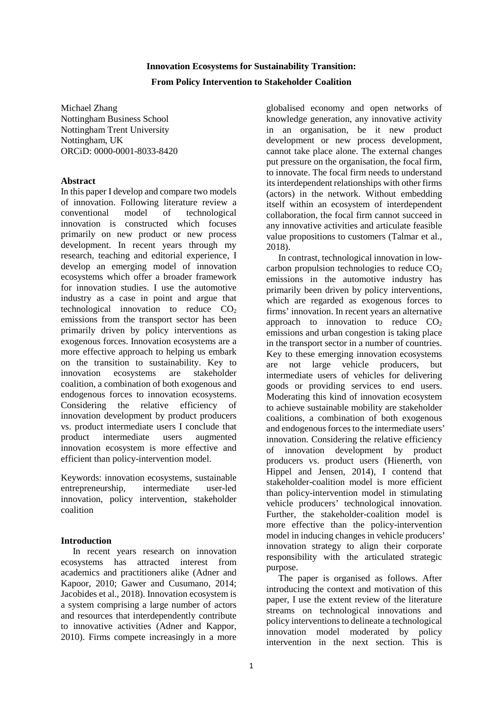# **Innovation Ecosystems for Sustainability Transition: From Policy Intervention to Stakeholder Coalition**

Michael Zhang Nottingham Business School Nottingham Trent University Nottingham, UK ORCiD: 0000-0001-8033-8420

# **Abstract**

In this paper I develop and compare two models of innovation. Following literature review a conventional model of technological innovation is constructed which focuses primarily on new product or new process development. In recent years through my research, teaching and editorial experience, I develop an emerging model of innovation ecosystems which offer a broader framework for innovation studies. I use the automotive industry as a case in point and argue that technological innovation to reduce  $CO<sub>2</sub>$ emissions from the transport sector has been primarily driven by policy interventions as exogenous forces. Innovation ecosystems are a more effective approach to helping us embark on the transition to sustainability. Key to innovation ecosystems are stakeholder coalition, a combination of both exogenous and endogenous forces to innovation ecosystems. Considering the relative efficiency of innovation development by product producers vs. product intermediate users I conclude that<br>product intermediate users augmented product intermediate users innovation ecosystem is more effective and efficient than policy-intervention model.

Keywords: innovation ecosystems, sustainable entrepreneurship, intermediate user-led innovation, policy intervention, stakeholder coalition

# **Introduction**

In recent years research on innovation ecosystems has attracted interest from academics and practitioners alike (Adner and Kapoor, 2010; Gawer and Cusumano, 2014; Jacobides et al., 2018). Innovation ecosystem is a system comprising a large number of actors and resources that interdependently contribute to innovative activities (Adner and Kappor, 2010). Firms compete increasingly in a more globalised economy and open networks of knowledge generation, any innovative activity in an organisation, be it new product development or new process development, cannot take place alone. The external changes put pressure on the organisation, the focal firm, to innovate. The focal firm needs to understand its interdependent relationships with other firms (actors) in the network. Without embedding itself within an ecosystem of interdependent collaboration, the focal firm cannot succeed in any innovative activities and articulate feasible value propositions to customers (Talmar et al., 2018).

In contrast, technological innovation in lowcarbon propulsion technologies to reduce  $CO<sub>2</sub>$ emissions in the automotive industry has primarily been driven by policy interventions, which are regarded as exogenous forces to firms' innovation. In recent years an alternative approach to innovation to reduce  $CO<sub>2</sub>$ emissions and urban congestion is taking place in the transport sector in a number of countries. Key to these emerging innovation ecosystems are not large vehicle producers, but intermediate users of vehicles for delivering goods or providing services to end users. Moderating this kind of innovation ecosystem to achieve sustainable mobility are stakeholder coalitions, a combination of both exogenous and endogenous forces to the intermediate users' innovation. Considering the relative efficiency of innovation development by product producers vs. product users (Hienerth, von Hippel and Jensen, 2014), I contend that stakeholder-coalition model is more efficient than policy-intervention model in stimulating vehicle producers' technological innovation. Further, the stakeholder-coalition model is more effective than the policy-intervention model in inducing changes in vehicle producers' innovation strategy to align their corporate responsibility with the articulated strategic purpose.

The paper is organised as follows. After introducing the context and motivation of this paper, I use the extent review of the literature streams on technological innovations and policy interventions to delineate a technological innovation model moderated by policy intervention in the next section. This is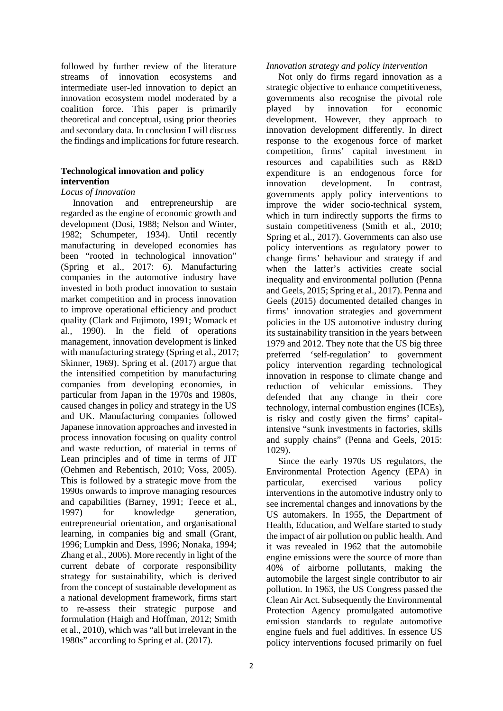followed by further review of the literature streams of innovation ecosystems and intermediate user-led innovation to depict an innovation ecosystem model moderated by a coalition force. This paper is primarily theoretical and conceptual, using prior theories and secondary data. In conclusion I will discuss the findings and implications for future research.

# **Technological innovation and policy intervention**

# *Locus of Innovation*

Innovation and entrepreneurship are regarded as the engine of economic growth and development (Dosi, 1988; Nelson and Winter, 1982; Schumpeter, 1934). Until recently manufacturing in developed economies has been "rooted in technological innovation" (Spring et al., 2017: 6). Manufacturing companies in the automotive industry have invested in both product innovation to sustain market competition and in process innovation to improve operational efficiency and product quality (Clark and Fujimoto, 1991; Womack et al., 1990). In the field of operations management, innovation development is linked with manufacturing strategy (Spring et al., 2017; Skinner, 1969). Spring et al. (2017) argue that the intensified competition by manufacturing companies from developing economies, in particular from Japan in the 1970s and 1980s, caused changes in policy and strategy in the US and UK. Manufacturing companies followed Japanese innovation approaches and invested in process innovation focusing on quality control and waste reduction, of material in terms of Lean principles and of time in terms of JIT (Oehmen and Rebentisch, 2010; Voss, 2005). This is followed by a strategic move from the 1990s onwards to improve managing resources and capabilities (Barney, 1991; Teece et al., 1997) for knowledge generation, entrepreneurial orientation, and organisational learning, in companies big and small (Grant, 1996; Lumpkin and Dess, 1996; Nonaka, 1994; Zhang et al., 2006). More recently in light of the current debate of corporate responsibility strategy for sustainability, which is derived from the concept of sustainable development as a national development framework, firms start to re-assess their strategic purpose and formulation (Haigh and Hoffman, 2012; Smith et al., 2010), which was "all but irrelevant in the 1980s" according to Spring et al. (2017).

### *Innovation strategy and policy intervention*

Not only do firms regard innovation as a strategic objective to enhance competitiveness, governments also recognise the pivotal role played by innovation for economic development. However, they approach to innovation development differently. In direct response to the exogenous force of market competition, firms' capital investment in resources and capabilities such as R&D expenditure is an endogenous force for innovation development. In contrast, governments apply policy interventions to improve the wider socio-technical system, which in turn indirectly supports the firms to sustain competitiveness (Smith et al., 2010; Spring et al., 2017). Governments can also use policy interventions as regulatory power to change firms' behaviour and strategy if and when the latter's activities create social inequality and environmental pollution (Penna and Geels, 2015; Spring et al., 2017). Penna and Geels (2015) documented detailed changes in firms' innovation strategies and government policies in the US automotive industry during its sustainability transition in the years between 1979 and 2012. They note that the US big three preferred 'self-regulation' to government policy intervention regarding technological innovation in response to climate change and reduction of vehicular emissions. They defended that any change in their core technology, internal combustion engines (ICEs), is risky and costly given the firms' capitalintensive "sunk investments in factories, skills and supply chains" (Penna and Geels, 2015: 1029).

Since the early 1970s US regulators, the Environmental Protection Agency (EPA) in particular, exercised various policy interventions in the automotive industry only to see incremental changes and innovations by the US automakers. In 1955, the Department of Health, Education, and Welfare started to study the impact of air pollution on public health. And it was revealed in 1962 that the automobile engine emissions were the source of more than 40% of airborne pollutants, making the automobile the largest single contributor to air pollution. In 1963, the US Congress passed the Clean Air Act. Subsequently the Environmental Protection Agency promulgated automotive emission standards to regulate automotive engine fuels and fuel additives. In essence US policy interventions focused primarily on fuel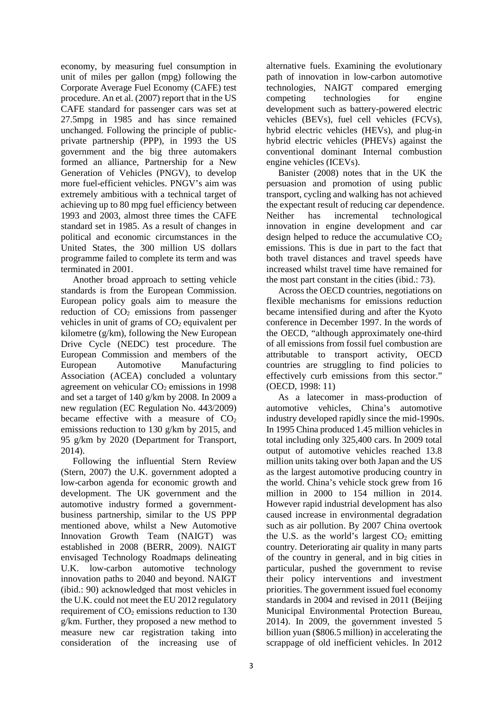economy, by measuring fuel consumption in unit of miles per gallon (mpg) following the Corporate Average Fuel Economy (CAFE) test procedure. An et al. (2007) report that in the US CAFE standard for passenger cars was set at 27.5mpg in 1985 and has since remained unchanged. Following the principle of publicprivate partnership (PPP), in 1993 the US government and the big three automakers formed an alliance, Partnership for a New Generation of Vehicles (PNGV), to develop more fuel-efficient vehicles. PNGV's aim was extremely ambitious with a technical target of achieving up to 80 mpg fuel efficiency between 1993 and 2003, almost three times the CAFE standard set in 1985. As a result of changes in political and economic circumstances in the United States, the 300 million US dollars programme failed to complete its term and was terminated in 2001.

Another broad approach to setting vehicle standards is from the European Commission. European policy goals aim to measure the reduction of  $CO<sub>2</sub>$  emissions from passenger vehicles in unit of grams of  $CO<sub>2</sub>$  equivalent per kilometre (g/km), following the New European Drive Cycle (NEDC) test procedure. The European Commission and members of the European Automotive Manufacturing Association (ACEA) concluded a voluntary agreement on vehicular  $CO<sub>2</sub>$  emissions in 1998 and set a target of 140 g/km by 2008. In 2009 a new regulation (EC Regulation No. 443/2009) became effective with a measure of  $CO<sub>2</sub>$ emissions reduction to 130 g/km by 2015, and 95 g/km by 2020 (Department for Transport, 2014).

Following the influential Stern Review (Stern, 2007) the U.K. government adopted a low-carbon agenda for economic growth and development. The UK government and the automotive industry formed a governmentbusiness partnership, similar to the US PPP mentioned above, whilst a New Automotive Innovation Growth Team (NAIGT) was established in 2008 (BERR, 2009). NAIGT envisaged Technology Roadmaps delineating U.K. low-carbon automotive technology innovation paths to 2040 and beyond. NAIGT (ibid.: 90) acknowledged that most vehicles in the U.K. could not meet the EU 2012 regulatory requirement of  $CO<sub>2</sub>$  emissions reduction to 130 g/km. Further, they proposed a new method to measure new car registration taking into consideration of the increasing use of

alternative fuels. Examining the evolutionary path of innovation in low-carbon automotive technologies, NAIGT compared emerging competing technologies for engine development such as battery-powered electric vehicles (BEVs), fuel cell vehicles (FCVs), hybrid electric vehicles (HEVs), and plug-in hybrid electric vehicles (PHEVs) against the conventional dominant Internal combustion engine vehicles (ICEVs).

Banister (2008) notes that in the UK the persuasion and promotion of using public transport, cycling and walking has not achieved the expectant result of reducing car dependence. Neither has incremental technological innovation in engine development and car design helped to reduce the accumulative  $CO<sub>2</sub>$ emissions. This is due in part to the fact that both travel distances and travel speeds have increased whilst travel time have remained for the most part constant in the cities (ibid.: 73).

Across the OECD countries, negotiations on flexible mechanisms for emissions reduction became intensified during and after the Kyoto conference in December 1997. In the words of the OECD, "although approximately one-third of all emissions from fossil fuel combustion are attributable to transport activity, OECD countries are struggling to find policies to effectively curb emissions from this sector." (OECD, 1998: 11)

As a latecomer in mass-production of automotive vehicles, China's automotive industry developed rapidly since the mid-1990s. In 1995 China produced 1.45 million vehicles in total including only 325,400 cars. In 2009 total output of automotive vehicles reached 13.8 million units taking over both Japan and the US as the largest automotive producing country in the world. China's vehicle stock grew from 16 million in 2000 to 154 million in 2014. However rapid industrial development has also caused increase in environmental degradation such as air pollution. By 2007 China overtook the U.S. as the world's largest  $CO<sub>2</sub>$  emitting country. Deteriorating air quality in many parts of the country in general, and in big cities in particular, pushed the government to revise their policy interventions and investment priorities. The government issued fuel economy standards in 2004 and revised in 2011 (Beijing Municipal Environmental Protection Bureau, 2014). In 2009, the government invested 5 billion yuan (\$806.5 million) in accelerating the scrappage of old inefficient vehicles. In 2012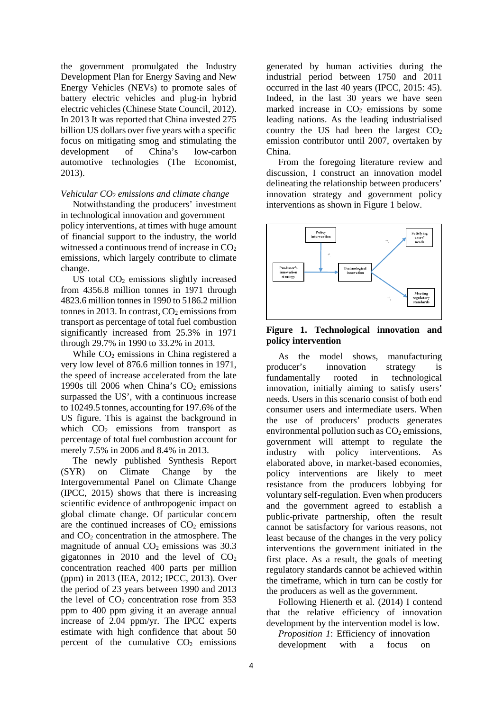the government promulgated the Industry Development Plan for Energy Saving and New Energy Vehicles (NEVs) to promote sales of battery electric vehicles and plug-in hybrid electric vehicles (Chinese State Council, 2012). In 2013 It was reported that China invested 275 billion US dollars over five years with a specific focus on mitigating smog and stimulating the development of China's low-carbon automotive technologies (The Economist, 2013).

#### *Vehicular CO2 emissions and climate change*

Notwithstanding the producers' investment in technological innovation and government policy interventions, at times with huge amount of financial support to the industry, the world witnessed a continuous trend of increase in  $CO<sub>2</sub>$ emissions, which largely contribute to climate change.

US total  $CO<sub>2</sub>$  emissions slightly increased from 4356.8 million tonnes in 1971 through 4823.6 million tonnes in 1990 to 5186.2 million tonnes in 2013. In contrast,  $CO<sub>2</sub>$  emissions from transport as percentage of total fuel combustion significantly increased from 25.3% in 1971 through 29.7% in 1990 to 33.2% in 2013.

While  $CO<sub>2</sub>$  emissions in China registered a very low level of 876.6 million tonnes in 1971, the speed of increase accelerated from the late 1990s till 2006 when China's  $CO<sub>2</sub>$  emissions surpassed the US', with a continuous increase to 10249.5 tonnes, accounting for 197.6% of the US figure. This is against the background in which  $CO<sub>2</sub>$  emissions from transport as percentage of total fuel combustion account for merely 7.5% in 2006 and 8.4% in 2013.

The newly published Synthesis Report (SYR) on Climate Change by the Intergovernmental Panel on Climate Change (IPCC, 2015) shows that there is increasing scientific evidence of anthropogenic impact on global climate change. Of particular concern are the continued increases of  $CO<sub>2</sub>$  emissions and  $CO<sub>2</sub>$  concentration in the atmosphere. The magnitude of annual  $CO<sub>2</sub>$  emissions was 30.3 gigatonnes in 2010 and the level of  $CO<sub>2</sub>$ concentration reached 400 parts per million (ppm) in 2013 (IEA, 2012; IPCC, 2013). Over the period of 23 years between 1990 and 2013 the level of  $CO<sub>2</sub>$  concentration rose from 353 ppm to 400 ppm giving it an average annual increase of 2.04 ppm/yr. The IPCC experts estimate with high confidence that about 50 percent of the cumulative  $CO<sub>2</sub>$  emissions

generated by human activities during the industrial period between 1750 and 2011 occurred in the last 40 years (IPCC, 2015: 45). Indeed, in the last 30 years we have seen marked increase in  $CO<sub>2</sub>$  emissions by some leading nations. As the leading industrialised country the US had been the largest  $CO<sub>2</sub>$ emission contributor until 2007, overtaken by China.

From the foregoing literature review and discussion, I construct an innovation model delineating the relationship between producers' innovation strategy and government policy interventions as shown in Figure 1 below.



### **Figure 1. Technological innovation and policy intervention**

As the model shows, manufacturing producer's innovation strategy is fundamentally rooted in technological innovation, initially aiming to satisfy users' needs. Users in this scenario consist of both end consumer users and intermediate users. When the use of producers' products generates environmental pollution such as  $CO<sub>2</sub>$  emissions, government will attempt to regulate the industry with policy interventions. As elaborated above, in market-based economies, policy interventions are likely to meet resistance from the producers lobbying for voluntary self-regulation. Even when producers and the government agreed to establish a public-private partnership, often the result cannot be satisfactory for various reasons, not least because of the changes in the very policy interventions the government initiated in the first place. As a result, the goals of meeting regulatory standards cannot be achieved within the timeframe, which in turn can be costly for the producers as well as the government.

Following Hienerth et al. (2014) I contend that the relative efficiency of innovation development by the intervention model is low.

*Proposition 1*: Efficiency of innovation development with a focus on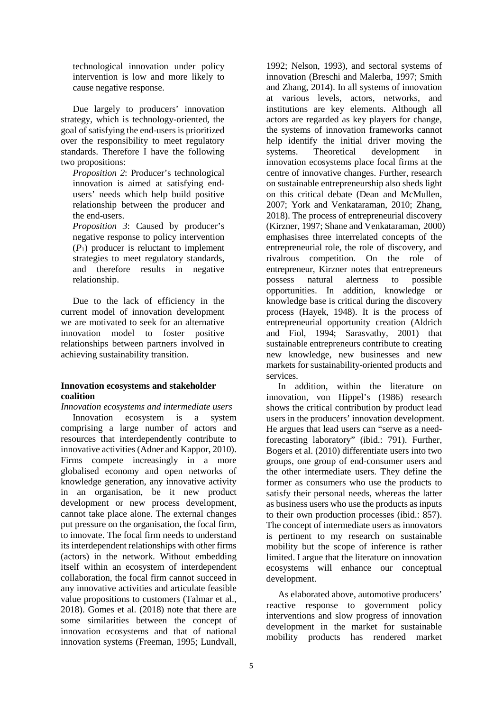technological innovation under policy intervention is low and more likely to cause negative response.

Due largely to producers' innovation strategy, which is technology-oriented, the goal of satisfying the end-users is prioritized over the responsibility to meet regulatory standards. Therefore I have the following two propositions:

*Proposition 2*: Producer's technological innovation is aimed at satisfying endusers' needs which help build positive relationship between the producer and the end-users.

*Proposition 3*: Caused by producer's negative response to policy intervention  $(P_1)$  producer is reluctant to implement strategies to meet regulatory standards, and therefore results in negative relationship.

Due to the lack of efficiency in the current model of innovation development we are motivated to seek for an alternative innovation model to foster positive relationships between partners involved in achieving sustainability transition.

# **Innovation ecosystems and stakeholder coalition**

*Innovation ecosystems and intermediate users* Innovation ecosystem is a system comprising a large number of actors and resources that interdependently contribute to innovative activities (Adner and Kappor, 2010). Firms compete increasingly in a more globalised economy and open networks of knowledge generation, any innovative activity in an organisation, be it new product development or new process development, cannot take place alone. The external changes put pressure on the organisation, the focal firm, to innovate. The focal firm needs to understand its interdependent relationships with other firms (actors) in the network. Without embedding itself within an ecosystem of interdependent collaboration, the focal firm cannot succeed in any innovative activities and articulate feasible value propositions to customers (Talmar et al., 2018). Gomes et al. (2018) note that there are some similarities between the concept of innovation ecosystems and that of national innovation systems (Freeman, 1995; Lundvall,

1992; Nelson, 1993), and sectoral systems of innovation (Breschi and Malerba, 1997; Smith and Zhang, 2014). In all systems of innovation at various levels, actors, networks, and institutions are key elements. Although all actors are regarded as key players for change, the systems of innovation frameworks cannot help identify the initial driver moving the systems. Theoretical development in innovation ecosystems place focal firms at the centre of innovative changes. Further, research on sustainable entrepreneurship also sheds light on this critical debate (Dean and McMullen, 2007; York and Venkataraman, 2010; Zhang, 2018). The process of entrepreneurial discovery (Kirzner, 1997; Shane and Venkataraman, 2000) emphasises three interrelated concepts of the entrepreneurial role, the role of discovery, and rivalrous competition. On the role of entrepreneur, Kirzner notes that entrepreneurs possess natural alertness to possible opportunities. In addition, knowledge or knowledge base is critical during the discovery process (Hayek, 1948). It is the process of entrepreneurial opportunity creation (Aldrich and Fiol, 1994; Sarasvathy, 2001) that sustainable entrepreneurs contribute to creating new knowledge, new businesses and new markets for sustainability-oriented products and services.

In addition, within the literature on innovation, von Hippel's (1986) research shows the critical contribution by product lead users in the producers' innovation development. He argues that lead users can "serve as a needforecasting laboratory" (ibid.: 791). Further, Bogers et al. (2010) differentiate users into two groups, one group of end-consumer users and the other intermediate users. They define the former as consumers who use the products to satisfy their personal needs, whereas the latter as business users who use the products as inputs to their own production processes (ibid.: 857). The concept of intermediate users as innovators is pertinent to my research on sustainable mobility but the scope of inference is rather limited. I argue that the literature on innovation ecosystems will enhance our conceptual development.

As elaborated above, automotive producers' reactive response to government policy interventions and slow progress of innovation development in the market for sustainable mobility products has rendered market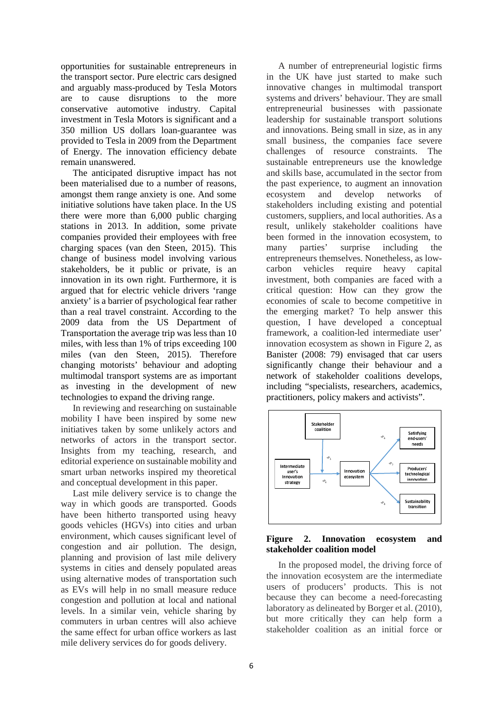opportunities for sustainable entrepreneurs in the transport sector. Pure electric cars designed and arguably mass-produced by Tesla Motors are to cause disruptions to the more conservative automotive industry. Capital investment in Tesla Motors is significant and a 350 million US dollars loan-guarantee was provided to Tesla in 2009 from the Department of Energy. The innovation efficiency debate remain unanswered.

The anticipated disruptive impact has not been materialised due to a number of reasons, amongst them range anxiety is one. And some initiative solutions have taken place. In the US there were more than 6,000 public charging stations in 2013. In addition, some private companies provided their employees with free charging spaces (van den Steen, 2015). This change of business model involving various stakeholders, be it public or private, is an innovation in its own right. Furthermore, it is argued that for electric vehicle drivers 'range anxiety' is a barrier of psychological fear rather than a real travel constraint. According to the 2009 data from the US Department of Transportation the average trip was less than 10 miles, with less than 1% of trips exceeding 100 miles (van den Steen, 2015). Therefore changing motorists' behaviour and adopting multimodal transport systems are as important as investing in the development of new technologies to expand the driving range.

In reviewing and researching on sustainable mobility I have been inspired by some new initiatives taken by some unlikely actors and networks of actors in the transport sector. Insights from my teaching, research, and editorial experience on sustainable mobility and smart urban networks inspired my theoretical and conceptual development in this paper.

Last mile delivery service is to change the way in which goods are transported. Goods have been hitherto transported using heavy goods vehicles (HGVs) into cities and urban environment, which causes significant level of congestion and air pollution. The design, planning and provision of last mile delivery systems in cities and densely populated areas using alternative modes of transportation such as EVs will help in no small measure reduce congestion and pollution at local and national levels. In a similar vein, vehicle sharing by commuters in urban centres will also achieve the same effect for urban office workers as last mile delivery services do for goods delivery.

A number of entrepreneurial logistic firms in the UK have just started to make such innovative changes in multimodal transport systems and drivers' behaviour. They are small entrepreneurial businesses with passionate leadership for sustainable transport solutions and innovations. Being small in size, as in any small business, the companies face severe challenges of resource constraints. The sustainable entrepreneurs use the knowledge and skills base, accumulated in the sector from the past experience, to augment an innovation ecosystem and develop networks of stakeholders including existing and potential customers, suppliers, and local authorities. As a result, unlikely stakeholder coalitions have been formed in the innovation ecosystem, to many parties' surprise including the entrepreneurs themselves. Nonetheless, as lowcarbon vehicles require heavy capital investment, both companies are faced with a critical question: How can they grow the economies of scale to become competitive in the emerging market? To help answer this question, I have developed a conceptual framework, a coalition-led intermediate user' innovation ecosystem as shown in Figure 2, as Banister (2008: 79) envisaged that car users significantly change their behaviour and a network of stakeholder coalitions develops, including "specialists, researchers, academics, practitioners, policy makers and activists".



### **Figure 2. Innovation ecosystem and stakeholder coalition model**

In the proposed model, the driving force of the innovation ecosystem are the intermediate users of producers' products. This is not because they can become a need-forecasting laboratory as delineated by Borger et al. (2010), but more critically they can help form a stakeholder coalition as an initial force or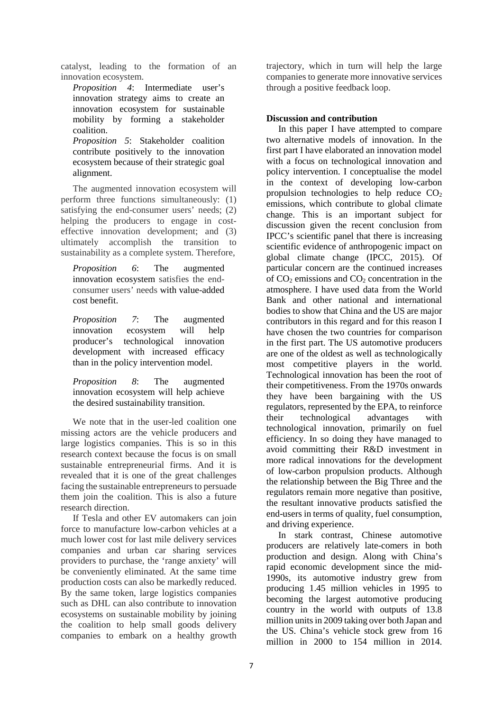catalyst, leading to the formation of an innovation ecosystem.

*Proposition 4*: Intermediate user's innovation strategy aims to create an innovation ecosystem for sustainable mobility by forming a stakeholder coalition.

*Proposition 5*: Stakeholder coalition contribute positively to the innovation ecosystem because of their strategic goal alignment.

The augmented innovation ecosystem will perform three functions simultaneously: (1) satisfying the end-consumer users' needs; (2) helping the producers to engage in costeffective innovation development; and (3) ultimately accomplish the transition to sustainability as a complete system. Therefore,

*Proposition 6*: The augmented innovation ecosystem satisfies the endconsumer users' needs with value-added cost benefit.

*Proposition 7*: The augmented innovation ecosystem will help producer's technological innovation development with increased efficacy than in the policy intervention model.

*Proposition 8*: The augmented innovation ecosystem will help achieve the desired sustainability transition.

We note that in the user-led coalition one missing actors are the vehicle producers and large logistics companies. This is so in this research context because the focus is on small sustainable entrepreneurial firms. And it is revealed that it is one of the great challenges facing the sustainable entrepreneurs to persuade them join the coalition. This is also a future research direction.

If Tesla and other EV automakers can join force to manufacture low-carbon vehicles at a much lower cost for last mile delivery services companies and urban car sharing services providers to purchase, the 'range anxiety' will be conveniently eliminated. At the same time production costs can also be markedly reduced. By the same token, large logistics companies such as DHL can also contribute to innovation ecosystems on sustainable mobility by joining the coalition to help small goods delivery companies to embark on a healthy growth trajectory, which in turn will help the large companies to generate more innovative services through a positive feedback loop.

# **Discussion and contribution**

In this paper I have attempted to compare two alternative models of innovation. In the first part I have elaborated an innovation model with a focus on technological innovation and policy intervention. I conceptualise the model in the context of developing low-carbon propulsion technologies to help reduce  $CO<sub>2</sub>$ emissions, which contribute to global climate change. This is an important subject for discussion given the recent conclusion from IPCC's scientific panel that there is increasing scientific evidence of anthropogenic impact on global climate change (IPCC, 2015). Of particular concern are the continued increases of  $CO<sub>2</sub>$  emissions and  $CO<sub>2</sub>$  concentration in the atmosphere. I have used data from the World Bank and other national and international bodies to show that China and the US are major contributors in this regard and for this reason I have chosen the two countries for comparison in the first part. The US automotive producers are one of the oldest as well as technologically most competitive players in the world. Technological innovation has been the root of their competitiveness. From the 1970s onwards they have been bargaining with the US regulators, represented by the EPA, to reinforce their technological advantages with technological innovation, primarily on fuel efficiency. In so doing they have managed to avoid committing their R&D investment in more radical innovations for the development of low-carbon propulsion products. Although the relationship between the Big Three and the regulators remain more negative than positive, the resultant innovative products satisfied the end-users in terms of quality, fuel consumption, and driving experience.

In stark contrast, Chinese automotive producers are relatively late-comers in both production and design. Along with China's rapid economic development since the mid-1990s, its automotive industry grew from producing 1.45 million vehicles in 1995 to becoming the largest automotive producing country in the world with outputs of 13.8 million units in 2009 taking over both Japan and the US. China's vehicle stock grew from 16 million in 2000 to 154 million in 2014.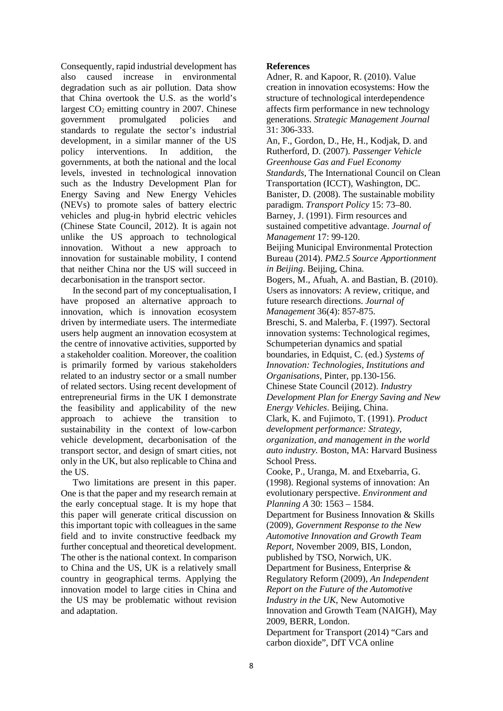Consequently, rapid industrial development has also caused increase in environmental degradation such as air pollution. Data show that China overtook the U.S. as the world's largest  $CO<sub>2</sub>$  emitting country in 2007. Chinese government promulgated policies and standards to regulate the sector's industrial development, in a similar manner of the US policy interventions. In addition, the governments, at both the national and the local levels, invested in technological innovation such as the Industry Development Plan for Energy Saving and New Energy Vehicles (NEVs) to promote sales of battery electric vehicles and plug-in hybrid electric vehicles (Chinese State Council, 2012). It is again not unlike the US approach to technological innovation. Without a new approach to innovation for sustainable mobility, I contend that neither China nor the US will succeed in decarbonisation in the transport sector.

In the second part of my conceptualisation, I have proposed an alternative approach to innovation, which is innovation ecosystem driven by intermediate users. The intermediate users help augment an innovation ecosystem at the centre of innovative activities, supported by a stakeholder coalition. Moreover, the coalition is primarily formed by various stakeholders related to an industry sector or a small number of related sectors. Using recent development of entrepreneurial firms in the UK I demonstrate the feasibility and applicability of the new approach to achieve the transition to sustainability in the context of low-carbon vehicle development, decarbonisation of the transport sector, and design of smart cities, not only in the UK, but also replicable to China and the US.

Two limitations are present in this paper. One is that the paper and my research remain at the early conceptual stage. It is my hope that this paper will generate critical discussion on this important topic with colleagues in the same field and to invite constructive feedback my further conceptual and theoretical development. The other is the national context. In comparison to China and the US, UK is a relatively small country in geographical terms. Applying the innovation model to large cities in China and the US may be problematic without revision and adaptation.

# **References**

Adner, R. and Kapoor, R. (2010). Value creation in innovation ecosystems: How the structure of technological interdependence affects firm performance in new technology generations. *Strategic Management Journal* 31: 306-333.

An, F., Gordon, D., He, H., Kodjak, D. and Rutherford, D. (2007). *Passenger Vehicle Greenhouse Gas and Fuel Economy Standards*, The International Council on Clean Transportation (ICCT), Washington, DC. Banister, D. (2008). The sustainable mobility paradigm. *Transport Policy* 15: 73–80. Barney, J. (1991). Firm resources and sustained competitive advantage. *Journal of Management* 17: 99-120. Beijing Municipal Environmental Protection Bureau (2014). *PM2.5 Source Apportionment in Beijing*. Beijing, China. Bogers, M., Afuah, A. and Bastian, B. (2010). Users as innovators: A review, critique, and future research directions. *Journal of Management* 36(4): 857-875. Breschi, S. and Malerba, F. (1997). Sectoral innovation systems: Technological regimes, Schumpeterian dynamics and spatial boundaries, in Edquist, C. (ed.) *Systems of Innovation: Technologies, Institutions and Organisations,* Pinter, pp.130-156. Chinese State Council (2012). *Industry Development Plan for Energy Saving and New Energy Vehicles*. Beijing, China. Clark, K. and Fujimoto, T. (1991). *Product development performance: Strategy, organization, and management in the world auto industry.* Boston, MA: Harvard Business School Press. Cooke, P., Uranga, M. and Etxebarria, G. (1998). Regional systems of innovation: An evolutionary perspective. *Environment and Planning A* 30: 1563 – 1584. Department for Business Innovation & Skills (2009), *Government Response to the New Automotive Innovation and Growth Team Report*, November 2009, BIS, London, published by TSO, Norwich, UK. Department for Business, Enterprise & Regulatory Reform (2009), *An Independent Report on the Future of the Automotive* 

*Industry in the UK*, New Automotive Innovation and Growth Team (NAIGH), May 2009, BERR, London.

Department for Transport (2014) "Cars and carbon dioxide", DfT VCA online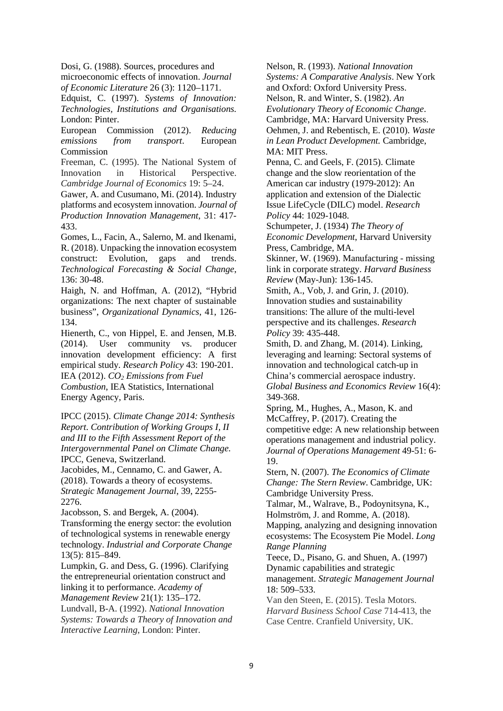Dosi, G. (1988). Sources, procedures and microeconomic effects of innovation. *Journal of Economic Literature* 26 (3): 1120–1171.

Edquist, C. (1997). *Systems of Innovation: Technologies, Institutions and Organisations.*  London: Pinter.

European Commission (2012). *Reducing emissions from transport*. European Commission

Freeman, C. (1995). The National System of Innovation in Historical Perspective. *Cambridge Journal of Economics* 19: 5–24.

Gawer, A. and Cusumano, Mi. (2014). Industry platforms and ecosystem innovation. *Journal of Production Innovation Management*, 31: 417- 433.

Gomes, L., Facin, A., Salerno, M. and Ikenami, R. (2018). Unpacking the innovation ecosystem construct: Evolution, gaps and trends. *Technological Forecasting & Social Change*, 136: 30-48.

Haigh, N. and Hoffman, A. (2012), "Hybrid organizations: The next chapter of sustainable business", *Organizational Dynamics*, 41, 126- 134.

Hienerth, C., von Hippel, E. and Jensen, M.B. (2014). User community vs. producer innovation development efficiency: A first empirical study. *Research Policy* 43: 190-201. IEA (2012). *CO2 Emissions from Fuel Combustion*, IEA Statistics, International Energy Agency, Paris.

IPCC (2015). *Climate Change 2014: Synthesis Report*. *Contribution of Working Groups I, II and III to the Fifth Assessment Report of the Intergovernmental Panel on Climate Change.*  IPCC, Geneva, Switzerland.

Jacobides, M., Cennamo, C. and Gawer, A. (2018). Towards a theory of ecosystems. *Strategic Management Journal*, 39, 2255- 2276.

Jacobsson, S. and Bergek, A. (2004). Transforming the energy sector: the evolution of technological systems in renewable energy technology. *Industrial and Corporate Change* 13(5): 815–849.

Lumpkin, G. and Dess, G. (1996). Clarifying the entrepreneurial orientation construct and linking it to performance. *Academy of Management Review* 21(1): 135–172.

Lundvall, B-A. (1992). *National Innovation Systems: Towards a Theory of Innovation and Interactive Learning*, London: Pinter.

Nelson, R. (1993). *National Innovation Systems: A Comparative Analysis*. New York and Oxford: Oxford University Press. Nelson, R. and Winter, S. (1982). *An Evolutionary Theory of Economic Change*. Cambridge, MA: Harvard University Press. Oehmen, J. and Rebentisch, E. (2010). *Waste in Lean Product Development.* Cambridge, MA: MIT Press. Penna, C. and Geels, F. (2015). Climate change and the slow reorientation of the American car industry (1979-2012): An application and extension of the Dialectic Issue LifeCycle (DILC) model. *Research Policy* 44: 1029-1048. Schumpeter, J. (1934) *The Theory of Economic Development*, Harvard University Press, Cambridge, MA. Skinner, W. (1969). Manufacturing - missing link in corporate strategy. *Harvard Business Review* (May-Jun): 136-145. Smith, A., Vob, J. and Grin, J. (2010). Innovation studies and sustainability transitions: The allure of the multi-level perspective and its challenges. *Research Policy* 39: 435-448. Smith, D. and Zhang, M. (2014). Linking, leveraging and learning: Sectoral systems of innovation and technological catch-up in China's commercial aerospace industry. *Global Business and Economics Review* 16(4): 349-368. Spring, M., Hughes, A., Mason, K. and McCaffrey, P. (2017). Creating the competitive edge: A new relationship between operations management and industrial policy. *Journal of Operations Management* 49-51: 6- 19. Stern, N. (2007). *The Economics of Climate Change: The Stern Review*. Cambridge, UK: Cambridge University Press. Talmar, M., Walrave, B., Podoynitsyna, K., Holmström, J. and Romme, A. (2018). Mapping, analyzing and designing innovation ecosystems: The Ecosystem Pie Model. *Long Range Planning* Teece, D., Pisano, G. and Shuen, A. (1997) Dynamic capabilities and strategic

management. *Strategic Management Journal* 18: 509–533.

Van den Steen, E. (2015). Tesla Motors. *Harvard Business School Case* 714-413, the Case Centre. Cranfield University, UK.